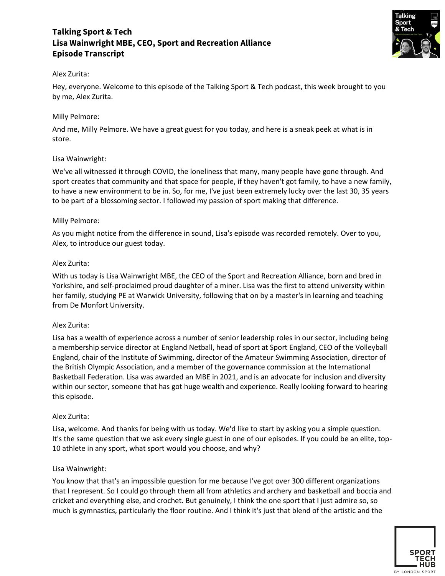# **Talking Sport & Tech Lisa Wainwright MBE, CEO, Sport and Recreation Alliance Episode Transcript**



### Alex Zurita:

Hey, everyone. Welcome to this episode of the Talking Sport & Tech podcast, this week brought to you by me, Alex Zurita.

### Milly Pelmore:

And me, Milly Pelmore. We have a great guest for you today, and here is a sneak peek at what is in store.

### Lisa Wainwright:

We've all witnessed it through COVID, the loneliness that many, many people have gone through. And sport creates that community and that space for people, if they haven't got family, to have a new family, to have a new environment to be in. So, for me, I've just been extremely lucky over the last 30, 35 years to be part of a blossoming sector. I followed my passion of sport making that difference.

### Milly Pelmore:

As you might notice from the difference in sound, Lisa's episode was recorded remotely. Over to you, Alex, to introduce our guest today.

### Alex Zurita:

With us today is Lisa Wainwright MBE, the CEO of the Sport and Recreation Alliance, born and bred in Yorkshire, and self-proclaimed proud daughter of a miner. Lisa was the first to attend university within her family, studying PE at Warwick University, following that on by a master's in learning and teaching from De Monfort University.

### Alex Zurita:

Lisa has a wealth of experience across a number of senior leadership roles in our sector, including being a membership service director at England Netball, head of sport at Sport England, CEO of the Volleyball England, chair of the Institute of Swimming, director of the Amateur Swimming Association, director of the British Olympic Association, and a member of the governance commission at the International Basketball Federation. Lisa was awarded an MBE in 2021, and is an advocate for inclusion and diversity within our sector, someone that has got huge wealth and experience. Really looking forward to hearing this episode.

### Alex Zurita:

Lisa, welcome. And thanks for being with us today. We'd like to start by asking you a simple question. It's the same question that we ask every single guest in one of our episodes. If you could be an elite, top-10 athlete in any sport, what sport would you choose, and why?

### Lisa Wainwright:

You know that that's an impossible question for me because I've got over 300 different organizations that I represent. So I could go through them all from athletics and archery and basketball and boccia and cricket and everything else, and crochet. But genuinely, I think the one sport that I just admire so, so much is gymnastics, particularly the floor routine. And I think it's just that blend of the artistic and the

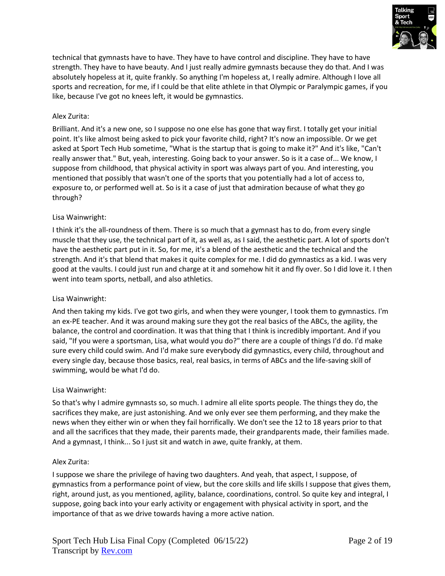

technical that gymnasts have to have. They have to have control and discipline. They have to have strength. They have to have beauty. And I just really admire gymnasts because they do that. And I was absolutely hopeless at it, quite frankly. So anything I'm hopeless at, I really admire. Although I love all sports and recreation, for me, if I could be that elite athlete in that Olympic or Paralympic games, if you like, because I've got no knees left, it would be gymnastics.

### Alex Zurita:

Brilliant. And it's a new one, so I suppose no one else has gone that way first. I totally get your initial point. It's like almost being asked to pick your favorite child, right? It's now an impossible. Or we get asked at Sport Tech Hub sometime, "What is the startup that is going to make it?" And it's like, "Can't really answer that." But, yeah, interesting. Going back to your answer. So is it a case of... We know, I suppose from childhood, that physical activity in sport was always part of you. And interesting, you mentioned that possibly that wasn't one of the sports that you potentially had a lot of access to, exposure to, or performed well at. So is it a case of just that admiration because of what they go through?

### Lisa Wainwright:

I think it's the all-roundness of them. There is so much that a gymnast has to do, from every single muscle that they use, the technical part of it, as well as, as I said, the aesthetic part. A lot of sports don't have the aesthetic part put in it. So, for me, it's a blend of the aesthetic and the technical and the strength. And it's that blend that makes it quite complex for me. I did do gymnastics as a kid. I was very good at the vaults. I could just run and charge at it and somehow hit it and fly over. So I did love it. I then went into team sports, netball, and also athletics.

### Lisa Wainwright:

And then taking my kids. I've got two girls, and when they were younger, I took them to gymnastics. I'm an ex-PE teacher. And it was around making sure they got the real basics of the ABCs, the agility, the balance, the control and coordination. It was that thing that I think is incredibly important. And if you said, "If you were a sportsman, Lisa, what would you do?" there are a couple of things I'd do. I'd make sure every child could swim. And I'd make sure everybody did gymnastics, every child, throughout and every single day, because those basics, real, real basics, in terms of ABCs and the life-saving skill of swimming, would be what I'd do.

### Lisa Wainwright:

So that's why I admire gymnasts so, so much. I admire all elite sports people. The things they do, the sacrifices they make, are just astonishing. And we only ever see them performing, and they make the news when they either win or when they fail horrifically. We don't see the 12 to 18 years prior to that and all the sacrifices that they made, their parents made, their grandparents made, their families made. And a gymnast, I think... So I just sit and watch in awe, quite frankly, at them.

### Alex Zurita:

I suppose we share the privilege of having two daughters. And yeah, that aspect, I suppose, of gymnastics from a performance point of view, but the core skills and life skills I suppose that gives them, right, around just, as you mentioned, agility, balance, coordinations, control. So quite key and integral, I suppose, going back into your early activity or engagement with physical activity in sport, and the importance of that as we drive towards having a more active nation.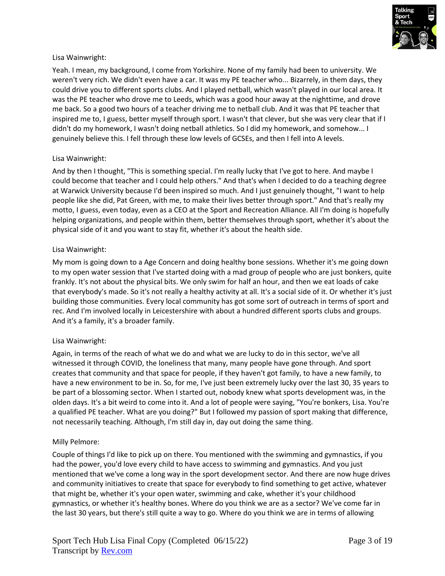

Yeah. I mean, my background, I come from Yorkshire. None of my family had been to university. We weren't very rich. We didn't even have a car. It was my PE teacher who... Bizarrely, in them days, they could drive you to different sports clubs. And I played netball, which wasn't played in our local area. It was the PE teacher who drove me to Leeds, which was a good hour away at the nighttime, and drove me back. So a good two hours of a teacher driving me to netball club. And it was that PE teacher that inspired me to, I guess, better myself through sport. I wasn't that clever, but she was very clear that if I didn't do my homework, I wasn't doing netball athletics. So I did my homework, and somehow... I genuinely believe this. I fell through these low levels of GCSEs, and then I fell into A levels.

### Lisa Wainwright:

And by then I thought, "This is something special. I'm really lucky that I've got to here. And maybe I could become that teacher and I could help others." And that's when I decided to do a teaching degree at Warwick University because I'd been inspired so much. And I just genuinely thought, "I want to help people like she did, Pat Green, with me, to make their lives better through sport." And that's really my motto, I guess, even today, even as a CEO at the Sport and Recreation Alliance. All I'm doing is hopefully helping organizations, and people within them, better themselves through sport, whether it's about the physical side of it and you want to stay fit, whether it's about the health side.

### Lisa Wainwright:

My mom is going down to a Age Concern and doing healthy bone sessions. Whether it's me going down to my open water session that I've started doing with a mad group of people who are just bonkers, quite frankly. It's not about the physical bits. We only swim for half an hour, and then we eat loads of cake that everybody's made. So it's not really a healthy activity at all. It's a social side of it. Or whether it's just building those communities. Every local community has got some sort of outreach in terms of sport and rec. And I'm involved locally in Leicestershire with about a hundred different sports clubs and groups. And it's a family, it's a broader family.

### Lisa Wainwright:

Again, in terms of the reach of what we do and what we are lucky to do in this sector, we've all witnessed it through COVID, the loneliness that many, many people have gone through. And sport creates that community and that space for people, if they haven't got family, to have a new family, to have a new environment to be in. So, for me, I've just been extremely lucky over the last 30, 35 years to be part of a blossoming sector. When I started out, nobody knew what sports development was, in the olden days. It's a bit weird to come into it. And a lot of people were saying, "You're bonkers, Lisa. You're a qualified PE teacher. What are you doing?" But I followed my passion of sport making that difference, not necessarily teaching. Although, I'm still day in, day out doing the same thing.

### Milly Pelmore:

Couple of things I'd like to pick up on there. You mentioned with the swimming and gymnastics, if you had the power, you'd love every child to have access to swimming and gymnastics. And you just mentioned that we've come a long way in the sport development sector. And there are now huge drives and community initiatives to create that space for everybody to find something to get active, whatever that might be, whether it's your open water, swimming and cake, whether it's your childhood gymnastics, or whether it's healthy bones. Where do you think we are as a sector? We've come far in the last 30 years, but there's still quite a way to go. Where do you think we are in terms of allowing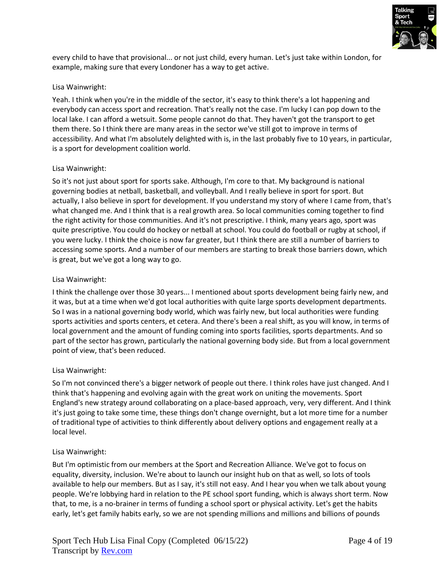

every child to have that provisional... or not just child, every human. Let's just take within London, for example, making sure that every Londoner has a way to get active.

### Lisa Wainwright:

Yeah. I think when you're in the middle of the sector, it's easy to think there's a lot happening and everybody can access sport and recreation. That's really not the case. I'm lucky I can pop down to the local lake. I can afford a wetsuit. Some people cannot do that. They haven't got the transport to get them there. So I think there are many areas in the sector we've still got to improve in terms of accessibility. And what I'm absolutely delighted with is, in the last probably five to 10 years, in particular, is a sport for development coalition world.

### Lisa Wainwright:

So it's not just about sport for sports sake. Although, I'm core to that. My background is national governing bodies at netball, basketball, and volleyball. And I really believe in sport for sport. But actually, I also believe in sport for development. If you understand my story of where I came from, that's what changed me. And I think that is a real growth area. So local communities coming together to find the right activity for those communities. And it's not prescriptive. I think, many years ago, sport was quite prescriptive. You could do hockey or netball at school. You could do football or rugby at school, if you were lucky. I think the choice is now far greater, but I think there are still a number of barriers to accessing some sports. And a number of our members are starting to break those barriers down, which is great, but we've got a long way to go.

### Lisa Wainwright:

I think the challenge over those 30 years... I mentioned about sports development being fairly new, and it was, but at a time when we'd got local authorities with quite large sports development departments. So I was in a national governing body world, which was fairly new, but local authorities were funding sports activities and sports centers, et cetera. And there's been a real shift, as you will know, in terms of local government and the amount of funding coming into sports facilities, sports departments. And so part of the sector has grown, particularly the national governing body side. But from a local government point of view, that's been reduced.

# Lisa Wainwright:

So I'm not convinced there's a bigger network of people out there. I think roles have just changed. And I think that's happening and evolving again with the great work on uniting the movements. Sport England's new strategy around collaborating on a place-based approach, very, very different. And I think it's just going to take some time, these things don't change overnight, but a lot more time for a number of traditional type of activities to think differently about delivery options and engagement really at a local level.

# Lisa Wainwright:

But I'm optimistic from our members at the Sport and Recreation Alliance. We've got to focus on equality, diversity, inclusion. We're about to launch our insight hub on that as well, so lots of tools available to help our members. But as I say, it's still not easy. And I hear you when we talk about young people. We're lobbying hard in relation to the PE school sport funding, which is always short term. Now that, to me, is a no-brainer in terms of funding a school sport or physical activity. Let's get the habits early, let's get family habits early, so we are not spending millions and millions and billions of pounds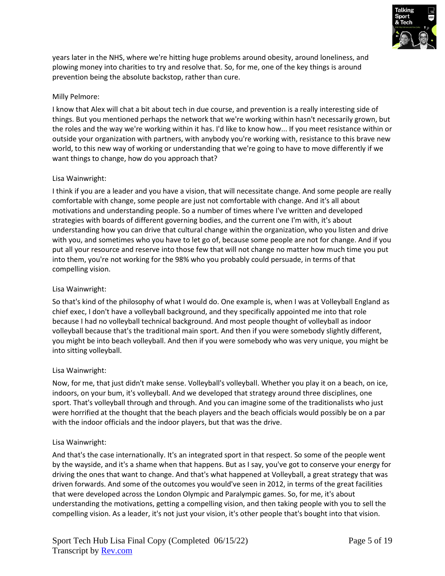

years later in the NHS, where we're hitting huge problems around obesity, around loneliness, and plowing money into charities to try and resolve that. So, for me, one of the key things is around prevention being the absolute backstop, rather than cure.

### Milly Pelmore:

I know that Alex will chat a bit about tech in due course, and prevention is a really interesting side of things. But you mentioned perhaps the network that we're working within hasn't necessarily grown, but the roles and the way we're working within it has. I'd like to know how... If you meet resistance within or outside your organization with partners, with anybody you're working with, resistance to this brave new world, to this new way of working or understanding that we're going to have to move differently if we want things to change, how do you approach that?

### Lisa Wainwright:

I think if you are a leader and you have a vision, that will necessitate change. And some people are really comfortable with change, some people are just not comfortable with change. And it's all about motivations and understanding people. So a number of times where I've written and developed strategies with boards of different governing bodies, and the current one I'm with, it's about understanding how you can drive that cultural change within the organization, who you listen and drive with you, and sometimes who you have to let go of, because some people are not for change. And if you put all your resource and reserve into those few that will not change no matter how much time you put into them, you're not working for the 98% who you probably could persuade, in terms of that compelling vision.

### Lisa Wainwright:

So that's kind of the philosophy of what I would do. One example is, when I was at Volleyball England as chief exec, I don't have a volleyball background, and they specifically appointed me into that role because I had no volleyball technical background. And most people thought of volleyball as indoor volleyball because that's the traditional main sport. And then if you were somebody slightly different, you might be into beach volleyball. And then if you were somebody who was very unique, you might be into sitting volleyball.

### Lisa Wainwright:

Now, for me, that just didn't make sense. Volleyball's volleyball. Whether you play it on a beach, on ice, indoors, on your bum, it's volleyball. And we developed that strategy around three disciplines, one sport. That's volleyball through and through. And you can imagine some of the traditionalists who just were horrified at the thought that the beach players and the beach officials would possibly be on a par with the indoor officials and the indoor players, but that was the drive.

### Lisa Wainwright:

And that's the case internationally. It's an integrated sport in that respect. So some of the people went by the wayside, and it's a shame when that happens. But as I say, you've got to conserve your energy for driving the ones that want to change. And that's what happened at Volleyball, a great strategy that was driven forwards. And some of the outcomes you would've seen in 2012, in terms of the great facilities that were developed across the London Olympic and Paralympic games. So, for me, it's about understanding the motivations, getting a compelling vision, and then taking people with you to sell the compelling vision. As a leader, it's not just your vision, it's other people that's bought into that vision.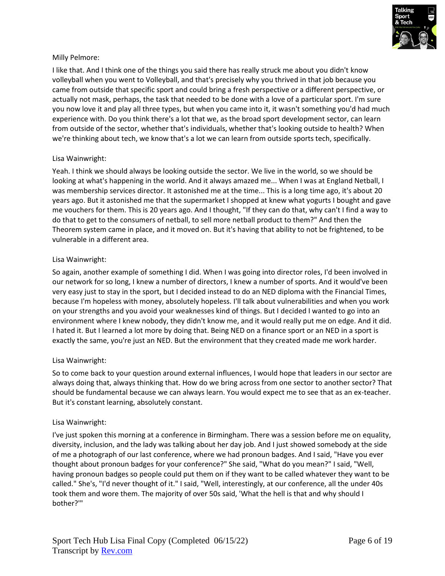

### Milly Pelmore:

I like that. And I think one of the things you said there has really struck me about you didn't know volleyball when you went to Volleyball, and that's precisely why you thrived in that job because you came from outside that specific sport and could bring a fresh perspective or a different perspective, or actually not mask, perhaps, the task that needed to be done with a love of a particular sport. I'm sure you now love it and play all three types, but when you came into it, it wasn't something you'd had much experience with. Do you think there's a lot that we, as the broad sport development sector, can learn from outside of the sector, whether that's individuals, whether that's looking outside to health? When we're thinking about tech, we know that's a lot we can learn from outside sports tech, specifically.

### Lisa Wainwright:

Yeah. I think we should always be looking outside the sector. We live in the world, so we should be looking at what's happening in the world. And it always amazed me... When I was at England Netball, I was membership services director. It astonished me at the time... This is a long time ago, it's about 20 years ago. But it astonished me that the supermarket I shopped at knew what yogurts I bought and gave me vouchers for them. This is 20 years ago. And I thought, "If they can do that, why can't I find a way to do that to get to the consumers of netball, to sell more netball product to them?" And then the Theorem system came in place, and it moved on. But it's having that ability to not be frightened, to be vulnerable in a different area.

### Lisa Wainwright:

So again, another example of something I did. When I was going into director roles, I'd been involved in our network for so long, I knew a number of directors, I knew a number of sports. And it would've been very easy just to stay in the sport, but I decided instead to do an NED diploma with the Financial Times, because I'm hopeless with money, absolutely hopeless. I'll talk about vulnerabilities and when you work on your strengths and you avoid your weaknesses kind of things. But I decided I wanted to go into an environment where I knew nobody, they didn't know me, and it would really put me on edge. And it did. I hated it. But I learned a lot more by doing that. Being NED on a finance sport or an NED in a sport is exactly the same, you're just an NED. But the environment that they created made me work harder.

### Lisa Wainwright:

So to come back to your question around external influences, I would hope that leaders in our sector are always doing that, always thinking that. How do we bring across from one sector to another sector? That should be fundamental because we can always learn. You would expect me to see that as an ex-teacher. But it's constant learning, absolutely constant.

### Lisa Wainwright:

I've just spoken this morning at a conference in Birmingham. There was a session before me on equality, diversity, inclusion, and the lady was talking about her day job. And I just showed somebody at the side of me a photograph of our last conference, where we had pronoun badges. And I said, "Have you ever thought about pronoun badges for your conference?" She said, "What do you mean?" I said, "Well, having pronoun badges so people could put them on if they want to be called whatever they want to be called." She's, "I'd never thought of it." I said, "Well, interestingly, at our conference, all the under 40s took them and wore them. The majority of over 50s said, 'What the hell is that and why should I bother?'"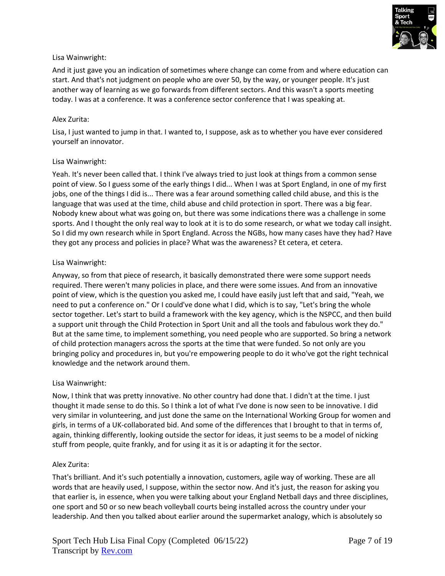

And it just gave you an indication of sometimes where change can come from and where education can start. And that's not judgment on people who are over 50, by the way, or younger people. It's just another way of learning as we go forwards from different sectors. And this wasn't a sports meeting today. I was at a conference. It was a conference sector conference that I was speaking at.

### Alex Zurita:

Lisa, I just wanted to jump in that. I wanted to, I suppose, ask as to whether you have ever considered yourself an innovator.

### Lisa Wainwright:

Yeah. It's never been called that. I think I've always tried to just look at things from a common sense point of view. So I guess some of the early things I did... When I was at Sport England, in one of my first jobs, one of the things I did is... There was a fear around something called child abuse, and this is the language that was used at the time, child abuse and child protection in sport. There was a big fear. Nobody knew about what was going on, but there was some indications there was a challenge in some sports. And I thought the only real way to look at it is to do some research, or what we today call insight. So I did my own research while in Sport England. Across the NGBs, how many cases have they had? Have they got any process and policies in place? What was the awareness? Et cetera, et cetera.

### Lisa Wainwright:

Anyway, so from that piece of research, it basically demonstrated there were some support needs required. There weren't many policies in place, and there were some issues. And from an innovative point of view, which is the question you asked me, I could have easily just left that and said, "Yeah, we need to put a conference on." Or I could've done what I did, which is to say, "Let's bring the whole sector together. Let's start to build a framework with the key agency, which is the NSPCC, and then build a support unit through the Child Protection in Sport Unit and all the tools and fabulous work they do." But at the same time, to implement something, you need people who are supported. So bring a network of child protection managers across the sports at the time that were funded. So not only are you bringing policy and procedures in, but you're empowering people to do it who've got the right technical knowledge and the network around them.

### Lisa Wainwright:

Now, I think that was pretty innovative. No other country had done that. I didn't at the time. I just thought it made sense to do this. So I think a lot of what I've done is now seen to be innovative. I did very similar in volunteering, and just done the same on the International Working Group for women and girls, in terms of a UK-collaborated bid. And some of the differences that I brought to that in terms of, again, thinking differently, looking outside the sector for ideas, it just seems to be a model of nicking stuff from people, quite frankly, and for using it as it is or adapting it for the sector.

### Alex Zurita:

That's brilliant. And it's such potentially a innovation, customers, agile way of working. These are all words that are heavily used, I suppose, within the sector now. And it's just, the reason for asking you that earlier is, in essence, when you were talking about your England Netball days and three disciplines, one sport and 50 or so new beach volleyball courts being installed across the country under your leadership. And then you talked about earlier around the supermarket analogy, which is absolutely so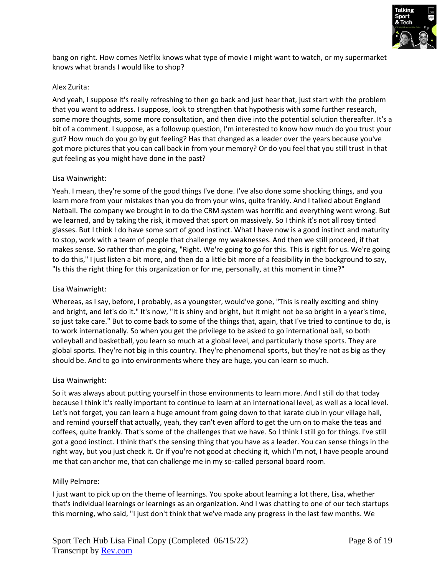

bang on right. How comes Netflix knows what type of movie I might want to watch, or my supermarket knows what brands I would like to shop?

#### Alex Zurita:

And yeah, I suppose it's really refreshing to then go back and just hear that, just start with the problem that you want to address. I suppose, look to strengthen that hypothesis with some further research, some more thoughts, some more consultation, and then dive into the potential solution thereafter. It's a bit of a comment. I suppose, as a followup question, I'm interested to know how much do you trust your gut? How much do you go by gut feeling? Has that changed as a leader over the years because you've got more pictures that you can call back in from your memory? Or do you feel that you still trust in that gut feeling as you might have done in the past?

#### Lisa Wainwright:

Yeah. I mean, they're some of the good things I've done. I've also done some shocking things, and you learn more from your mistakes than you do from your wins, quite frankly. And I talked about England Netball. The company we brought in to do the CRM system was horrific and everything went wrong. But we learned, and by taking the risk, it moved that sport on massively. So I think it's not all rosy tinted glasses. But I think I do have some sort of good instinct. What I have now is a good instinct and maturity to stop, work with a team of people that challenge my weaknesses. And then we still proceed, if that makes sense. So rather than me going, "Right. We're going to go for this. This is right for us. We're going to do this," I just listen a bit more, and then do a little bit more of a feasibility in the background to say, "Is this the right thing for this organization or for me, personally, at this moment in time?"

#### Lisa Wainwright:

Whereas, as I say, before, I probably, as a youngster, would've gone, "This is really exciting and shiny and bright, and let's do it." It's now, "It is shiny and bright, but it might not be so bright in a year's time, so just take care." But to come back to some of the things that, again, that I've tried to continue to do, is to work internationally. So when you get the privilege to be asked to go international ball, so both volleyball and basketball, you learn so much at a global level, and particularly those sports. They are global sports. They're not big in this country. They're phenomenal sports, but they're not as big as they should be. And to go into environments where they are huge, you can learn so much.

### Lisa Wainwright:

So it was always about putting yourself in those environments to learn more. And I still do that today because I think it's really important to continue to learn at an international level, as well as a local level. Let's not forget, you can learn a huge amount from going down to that karate club in your village hall, and remind yourself that actually, yeah, they can't even afford to get the urn on to make the teas and coffees, quite frankly. That's some of the challenges that we have. So I think I still go for things. I've still got a good instinct. I think that's the sensing thing that you have as a leader. You can sense things in the right way, but you just check it. Or if you're not good at checking it, which I'm not, I have people around me that can anchor me, that can challenge me in my so-called personal board room.

#### Milly Pelmore:

I just want to pick up on the theme of learnings. You spoke about learning a lot there, Lisa, whether that's individual learnings or learnings as an organization. And I was chatting to one of our tech startups this morning, who said, "I just don't think that we've made any progress in the last few months. We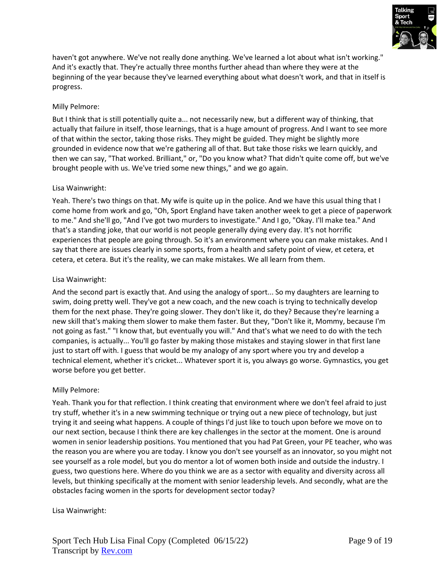

haven't got anywhere. We've not really done anything. We've learned a lot about what isn't working." And it's exactly that. They're actually three months further ahead than where they were at the beginning of the year because they've learned everything about what doesn't work, and that in itself is progress.

### Milly Pelmore:

But I think that is still potentially quite a... not necessarily new, but a different way of thinking, that actually that failure in itself, those learnings, that is a huge amount of progress. And I want to see more of that within the sector, taking those risks. They might be guided. They might be slightly more grounded in evidence now that we're gathering all of that. But take those risks we learn quickly, and then we can say, "That worked. Brilliant," or, "Do you know what? That didn't quite come off, but we've brought people with us. We've tried some new things," and we go again.

### Lisa Wainwright:

Yeah. There's two things on that. My wife is quite up in the police. And we have this usual thing that I come home from work and go, "Oh, Sport England have taken another week to get a piece of paperwork to me." And she'll go, "And I've got two murders to investigate." And I go, "Okay. I'll make tea." And that's a standing joke, that our world is not people generally dying every day. It's not horrific experiences that people are going through. So it's an environment where you can make mistakes. And I say that there are issues clearly in some sports, from a health and safety point of view, et cetera, et cetera, et cetera. But it's the reality, we can make mistakes. We all learn from them.

### Lisa Wainwright:

And the second part is exactly that. And using the analogy of sport... So my daughters are learning to swim, doing pretty well. They've got a new coach, and the new coach is trying to technically develop them for the next phase. They're going slower. They don't like it, do they? Because they're learning a new skill that's making them slower to make them faster. But they, "Don't like it, Mommy, because I'm not going as fast." "I know that, but eventually you will." And that's what we need to do with the tech companies, is actually... You'll go faster by making those mistakes and staying slower in that first lane just to start off with. I guess that would be my analogy of any sport where you try and develop a technical element, whether it's cricket... Whatever sport it is, you always go worse. Gymnastics, you get worse before you get better.

### Milly Pelmore:

Yeah. Thank you for that reflection. I think creating that environment where we don't feel afraid to just try stuff, whether it's in a new swimming technique or trying out a new piece of technology, but just trying it and seeing what happens. A couple of things I'd just like to touch upon before we move on to our next section, because I think there are key challenges in the sector at the moment. One is around women in senior leadership positions. You mentioned that you had Pat Green, your PE teacher, who was the reason you are where you are today. I know you don't see yourself as an innovator, so you might not see yourself as a role model, but you do mentor a lot of women both inside and outside the industry. I guess, two questions here. Where do you think we are as a sector with equality and diversity across all levels, but thinking specifically at the moment with senior leadership levels. And secondly, what are the obstacles facing women in the sports for development sector today?

### Lisa Wainwright: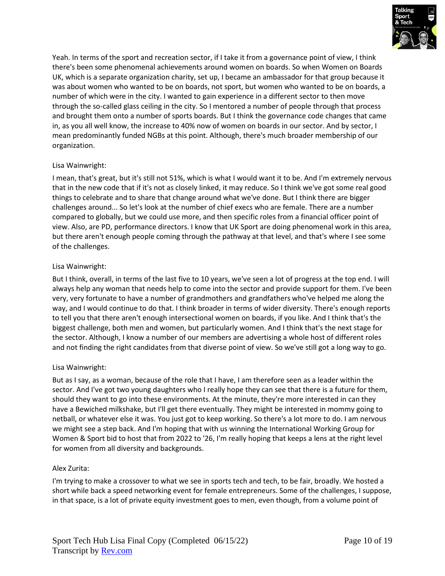

Yeah. In terms of the sport and recreation sector, if I take it from a governance point of view, I think there's been some phenomenal achievements around women on boards. So when Women on Boards UK, which is a separate organization charity, set up, I became an ambassador for that group because it was about women who wanted to be on boards, not sport, but women who wanted to be on boards, a number of which were in the city. I wanted to gain experience in a different sector to then move through the so-called glass ceiling in the city. So I mentored a number of people through that process and brought them onto a number of sports boards. But I think the governance code changes that came in, as you all well know, the increase to 40% now of women on boards in our sector. And by sector, I mean predominantly funded NGBs at this point. Although, there's much broader membership of our organization.

# Lisa Wainwright:

I mean, that's great, but it's still not 51%, which is what I would want it to be. And I'm extremely nervous that in the new code that if it's not as closely linked, it may reduce. So I think we've got some real good things to celebrate and to share that change around what we've done. But I think there are bigger challenges around... So let's look at the number of chief execs who are female. There are a number compared to globally, but we could use more, and then specific roles from a financial officer point of view. Also, are PD, performance directors. I know that UK Sport are doing phenomenal work in this area, but there aren't enough people coming through the pathway at that level, and that's where I see some of the challenges.

### Lisa Wainwright:

But I think, overall, in terms of the last five to 10 years, we've seen a lot of progress at the top end. I will always help any woman that needs help to come into the sector and provide support for them. I've been very, very fortunate to have a number of grandmothers and grandfathers who've helped me along the way, and I would continue to do that. I think broader in terms of wider diversity. There's enough reports to tell you that there aren't enough intersectional women on boards, if you like. And I think that's the biggest challenge, both men and women, but particularly women. And I think that's the next stage for the sector. Although, I know a number of our members are advertising a whole host of different roles and not finding the right candidates from that diverse point of view. So we've still got a long way to go.

### Lisa Wainwright:

But as I say, as a woman, because of the role that I have, I am therefore seen as a leader within the sector. And I've got two young daughters who I really hope they can see that there is a future for them, should they want to go into these environments. At the minute, they're more interested in can they have a Bewiched milkshake, but I'll get there eventually. They might be interested in mommy going to netball, or whatever else it was. You just got to keep working. So there's a lot more to do. I am nervous we might see a step back. And I'm hoping that with us winning the International Working Group for Women & Sport bid to host that from 2022 to '26, I'm really hoping that keeps a lens at the right level for women from all diversity and backgrounds.

# Alex Zurita:

I'm trying to make a crossover to what we see in sports tech and tech, to be fair, broadly. We hosted a short while back a speed networking event for female entrepreneurs. Some of the challenges, I suppose, in that space, is a lot of private equity investment goes to men, even though, from a volume point of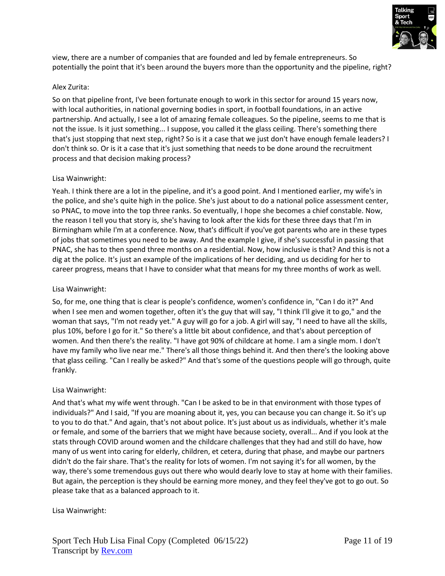

view, there are a number of companies that are founded and led by female entrepreneurs. So potentially the point that it's been around the buyers more than the opportunity and the pipeline, right?

### Alex Zurita:

So on that pipeline front, I've been fortunate enough to work in this sector for around 15 years now, with local authorities, in national governing bodies in sport, in football foundations, in an active partnership. And actually, I see a lot of amazing female colleagues. So the pipeline, seems to me that is not the issue. Is it just something... I suppose, you called it the glass ceiling. There's something there that's just stopping that next step, right? So is it a case that we just don't have enough female leaders? I don't think so. Or is it a case that it's just something that needs to be done around the recruitment process and that decision making process?

### Lisa Wainwright:

Yeah. I think there are a lot in the pipeline, and it's a good point. And I mentioned earlier, my wife's in the police, and she's quite high in the police. She's just about to do a national police assessment center, so PNAC, to move into the top three ranks. So eventually, I hope she becomes a chief constable. Now, the reason I tell you that story is, she's having to look after the kids for these three days that I'm in Birmingham while I'm at a conference. Now, that's difficult if you've got parents who are in these types of jobs that sometimes you need to be away. And the example I give, if she's successful in passing that PNAC, she has to then spend three months on a residential. Now, how inclusive is that? And this is not a dig at the police. It's just an example of the implications of her deciding, and us deciding for her to career progress, means that I have to consider what that means for my three months of work as well.

### Lisa Wainwright:

So, for me, one thing that is clear is people's confidence, women's confidence in, "Can I do it?" And when I see men and women together, often it's the guy that will say, "I think I'll give it to go," and the woman that says, "I'm not ready yet." A guy will go for a job. A girl will say, "I need to have all the skills, plus 10%, before I go for it." So there's a little bit about confidence, and that's about perception of women. And then there's the reality. "I have got 90% of childcare at home. I am a single mom. I don't have my family who live near me." There's all those things behind it. And then there's the looking above that glass ceiling. "Can I really be asked?" And that's some of the questions people will go through, quite frankly.

# Lisa Wainwright:

And that's what my wife went through. "Can I be asked to be in that environment with those types of individuals?" And I said, "If you are moaning about it, yes, you can because you can change it. So it's up to you to do that." And again, that's not about police. It's just about us as individuals, whether it's male or female, and some of the barriers that we might have because society, overall... And if you look at the stats through COVID around women and the childcare challenges that they had and still do have, how many of us went into caring for elderly, children, et cetera, during that phase, and maybe our partners didn't do the fair share. That's the reality for lots of women. I'm not saying it's for all women, by the way, there's some tremendous guys out there who would dearly love to stay at home with their families. But again, the perception is they should be earning more money, and they feel they've got to go out. So please take that as a balanced approach to it.

### Lisa Wainwright: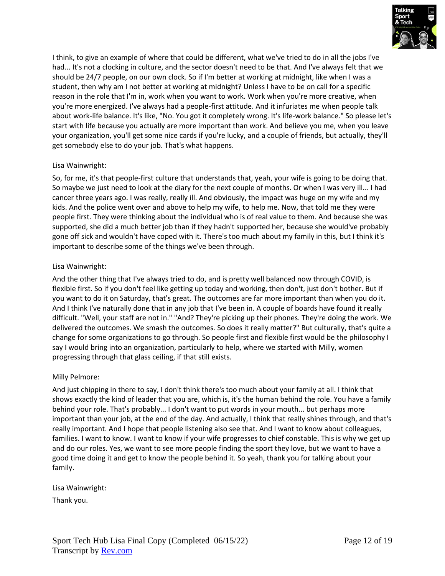

I think, to give an example of where that could be different, what we've tried to do in all the jobs I've had... It's not a clocking in culture, and the sector doesn't need to be that. And I've always felt that we should be 24/7 people, on our own clock. So if I'm better at working at midnight, like when I was a student, then why am I not better at working at midnight? Unless I have to be on call for a specific reason in the role that I'm in, work when you want to work. Work when you're more creative, when you're more energized. I've always had a people-first attitude. And it infuriates me when people talk about work-life balance. It's like, "No. You got it completely wrong. It's life-work balance." So please let's start with life because you actually are more important than work. And believe you me, when you leave your organization, you'll get some nice cards if you're lucky, and a couple of friends, but actually, they'll get somebody else to do your job. That's what happens.

### Lisa Wainwright:

So, for me, it's that people-first culture that understands that, yeah, your wife is going to be doing that. So maybe we just need to look at the diary for the next couple of months. Or when I was very ill... I had cancer three years ago. I was really, really ill. And obviously, the impact was huge on my wife and my kids. And the police went over and above to help my wife, to help me. Now, that told me they were people first. They were thinking about the individual who is of real value to them. And because she was supported, she did a much better job than if they hadn't supported her, because she would've probably gone off sick and wouldn't have coped with it. There's too much about my family in this, but I think it's important to describe some of the things we've been through.

### Lisa Wainwright:

And the other thing that I've always tried to do, and is pretty well balanced now through COVID, is flexible first. So if you don't feel like getting up today and working, then don't, just don't bother. But if you want to do it on Saturday, that's great. The outcomes are far more important than when you do it. And I think I've naturally done that in any job that I've been in. A couple of boards have found it really difficult. "Well, your staff are not in." "And? They're picking up their phones. They're doing the work. We delivered the outcomes. We smash the outcomes. So does it really matter?" But culturally, that's quite a change for some organizations to go through. So people first and flexible first would be the philosophy I say I would bring into an organization, particularly to help, where we started with Milly, women progressing through that glass ceiling, if that still exists.

### Milly Pelmore:

And just chipping in there to say, I don't think there's too much about your family at all. I think that shows exactly the kind of leader that you are, which is, it's the human behind the role. You have a family behind your role. That's probably... I don't want to put words in your mouth... but perhaps more important than your job, at the end of the day. And actually, I think that really shines through, and that's really important. And I hope that people listening also see that. And I want to know about colleagues, families. I want to know. I want to know if your wife progresses to chief constable. This is why we get up and do our roles. Yes, we want to see more people finding the sport they love, but we want to have a good time doing it and get to know the people behind it. So yeah, thank you for talking about your family.

### Lisa Wainwright:

Thank you.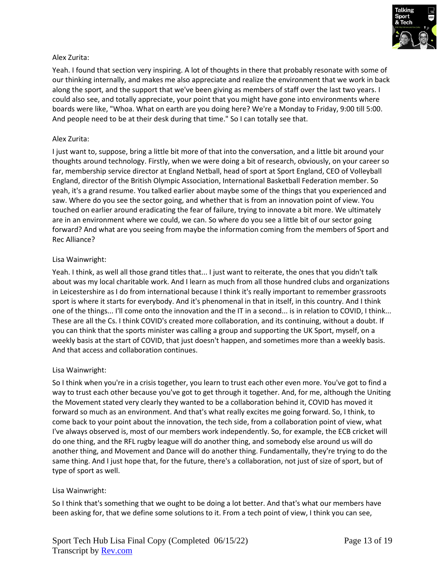

### Alex Zurita:

Yeah. I found that section very inspiring. A lot of thoughts in there that probably resonate with some of our thinking internally, and makes me also appreciate and realize the environment that we work in back along the sport, and the support that we've been giving as members of staff over the last two years. I could also see, and totally appreciate, your point that you might have gone into environments where boards were like, "Whoa. What on earth are you doing here? We're a Monday to Friday, 9:00 till 5:00. And people need to be at their desk during that time." So I can totally see that.

### Alex Zurita:

I just want to, suppose, bring a little bit more of that into the conversation, and a little bit around your thoughts around technology. Firstly, when we were doing a bit of research, obviously, on your career so far, membership service director at England Netball, head of sport at Sport England, CEO of Volleyball England, director of the British Olympic Association, International Basketball Federation member. So yeah, it's a grand resume. You talked earlier about maybe some of the things that you experienced and saw. Where do you see the sector going, and whether that is from an innovation point of view. You touched on earlier around eradicating the fear of failure, trying to innovate a bit more. We ultimately are in an environment where we could, we can. So where do you see a little bit of our sector going forward? And what are you seeing from maybe the information coming from the members of Sport and Rec Alliance?

### Lisa Wainwright:

Yeah. I think, as well all those grand titles that... I just want to reiterate, the ones that you didn't talk about was my local charitable work. And I learn as much from all those hundred clubs and organizations in Leicestershire as I do from international because I think it's really important to remember grassroots sport is where it starts for everybody. And it's phenomenal in that in itself, in this country. And I think one of the things... I'll come onto the innovation and the IT in a second... is in relation to COVID, I think... These are all the Cs. I think COVID's created more collaboration, and its continuing, without a doubt. If you can think that the sports minister was calling a group and supporting the UK Sport, myself, on a weekly basis at the start of COVID, that just doesn't happen, and sometimes more than a weekly basis. And that access and collaboration continues.

### Lisa Wainwright:

So I think when you're in a crisis together, you learn to trust each other even more. You've got to find a way to trust each other because you've got to get through it together. And, for me, although the Uniting the Movement stated very clearly they wanted to be a collaboration behind it, COVID has moved it forward so much as an environment. And that's what really excites me going forward. So, I think, to come back to your point about the innovation, the tech side, from a collaboration point of view, what I've always observed is, most of our members work independently. So, for example, the ECB cricket will do one thing, and the RFL rugby league will do another thing, and somebody else around us will do another thing, and Movement and Dance will do another thing. Fundamentally, they're trying to do the same thing. And I just hope that, for the future, there's a collaboration, not just of size of sport, but of type of sport as well.

### Lisa Wainwright:

So I think that's something that we ought to be doing a lot better. And that's what our members have been asking for, that we define some solutions to it. From a tech point of view, I think you can see,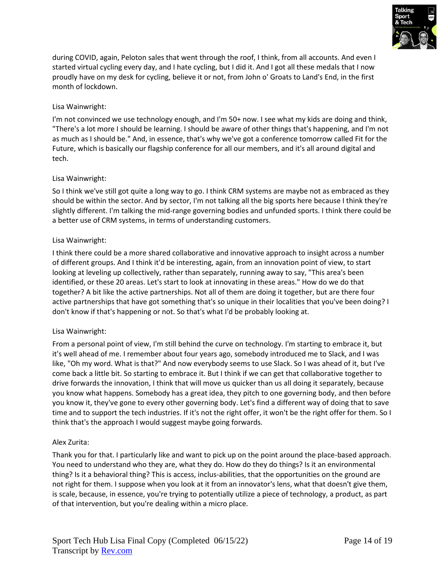

during COVID, again, Peloton sales that went through the roof, I think, from all accounts. And even I started virtual cycling every day, and I hate cycling, but I did it. And I got all these medals that I now proudly have on my desk for cycling, believe it or not, from John o' Groats to Land's End, in the first month of lockdown.

# Lisa Wainwright:

I'm not convinced we use technology enough, and I'm 50+ now. I see what my kids are doing and think, "There's a lot more I should be learning. I should be aware of other things that's happening, and I'm not as much as I should be." And, in essence, that's why we've got a conference tomorrow called Fit for the Future, which is basically our flagship conference for all our members, and it's all around digital and tech.

# Lisa Wainwright:

So I think we've still got quite a long way to go. I think CRM systems are maybe not as embraced as they should be within the sector. And by sector, I'm not talking all the big sports here because I think they're slightly different. I'm talking the mid-range governing bodies and unfunded sports. I think there could be a better use of CRM systems, in terms of understanding customers.

### Lisa Wainwright:

I think there could be a more shared collaborative and innovative approach to insight across a number of different groups. And I think it'd be interesting, again, from an innovation point of view, to start looking at leveling up collectively, rather than separately, running away to say, "This area's been identified, or these 20 areas. Let's start to look at innovating in these areas." How do we do that together? A bit like the active partnerships. Not all of them are doing it together, but are there four active partnerships that have got something that's so unique in their localities that you've been doing? I don't know if that's happening or not. So that's what I'd be probably looking at.

# Lisa Wainwright:

From a personal point of view, I'm still behind the curve on technology. I'm starting to embrace it, but it's well ahead of me. I remember about four years ago, somebody introduced me to Slack, and I was like, "Oh my word. What is that?" And now everybody seems to use Slack. So I was ahead of it, but I've come back a little bit. So starting to embrace it. But I think if we can get that collaborative together to drive forwards the innovation, I think that will move us quicker than us all doing it separately, because you know what happens. Somebody has a great idea, they pitch to one governing body, and then before you know it, they've gone to every other governing body. Let's find a different way of doing that to save time and to support the tech industries. If it's not the right offer, it won't be the right offer for them. So I think that's the approach I would suggest maybe going forwards.

### Alex Zurita:

Thank you for that. I particularly like and want to pick up on the point around the place-based approach. You need to understand who they are, what they do. How do they do things? Is it an environmental thing? Is it a behavioral thing? This is access, inclus-abilities, that the opportunities on the ground are not right for them. I suppose when you look at it from an innovator's lens, what that doesn't give them, is scale, because, in essence, you're trying to potentially utilize a piece of technology, a product, as part of that intervention, but you're dealing within a micro place.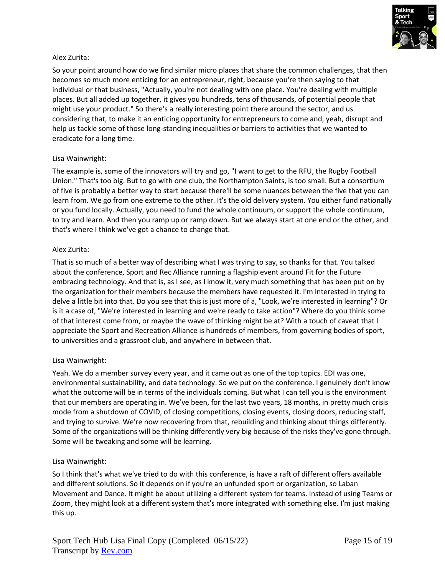

### Alex Zurita:

So your point around how do we find similar micro places that share the common challenges, that then becomes so much more enticing for an entrepreneur, right, because you're then saying to that individual or that business, "Actually, you're not dealing with one place. You're dealing with multiple places. But all added up together, it gives you hundreds, tens of thousands, of potential people that might use your product." So there's a really interesting point there around the sector, and us considering that, to make it an enticing opportunity for entrepreneurs to come and, yeah, disrupt and help us tackle some of those long-standing inequalities or barriers to activities that we wanted to eradicate for a long time.

### Lisa Wainwright:

The example is, some of the innovators will try and go, "I want to get to the RFU, the Rugby Football Union." That's too big. But to go with one club, the Northampton Saints, is too small. But a consortium of five is probably a better way to start because there'll be some nuances between the five that you can learn from. We go from one extreme to the other. It's the old delivery system. You either fund nationally or you fund locally. Actually, you need to fund the whole continuum, or support the whole continuum, to try and learn. And then you ramp up or ramp down. But we always start at one end or the other, and that's where I think we've got a chance to change that.

#### Alex Zurita:

That is so much of a better way of describing what I was trying to say, so thanks for that. You talked about the conference, Sport and Rec Alliance running a flagship event around Fit for the Future embracing technology. And that is, as I see, as I know it, very much something that has been put on by the organization for their members because the members have requested it. I'm interested in trying to delve a little bit into that. Do you see that this is just more of a, "Look, we're interested in learning"? Or is it a case of, "We're interested in learning and we're ready to take action"? Where do you think some of that interest come from, or maybe the wave of thinking might be at? With a touch of caveat that I appreciate the Sport and Recreation Alliance is hundreds of members, from governing bodies of sport, to universities and a grassroot club, and anywhere in between that.

### Lisa Wainwright:

Yeah. We do a member survey every year, and it came out as one of the top topics. EDI was one, environmental sustainability, and data technology. So we put on the conference. I genuinely don't know what the outcome will be in terms of the individuals coming. But what I can tell you is the environment that our members are operating in. We've been, for the last two years, 18 months, in pretty much crisis mode from a shutdown of COVID, of closing competitions, closing events, closing doors, reducing staff, and trying to survive. We're now recovering from that, rebuilding and thinking about things differently. Some of the organizations will be thinking differently very big because of the risks they've gone through. Some will be tweaking and some will be learning.

### Lisa Wainwright:

So I think that's what we've tried to do with this conference, is have a raft of different offers available and different solutions. So it depends on if you're an unfunded sport or organization, so Laban Movement and Dance. It might be about utilizing a different system for teams. Instead of using Teams or Zoom, they might look at a different system that's more integrated with something else. I'm just making this up.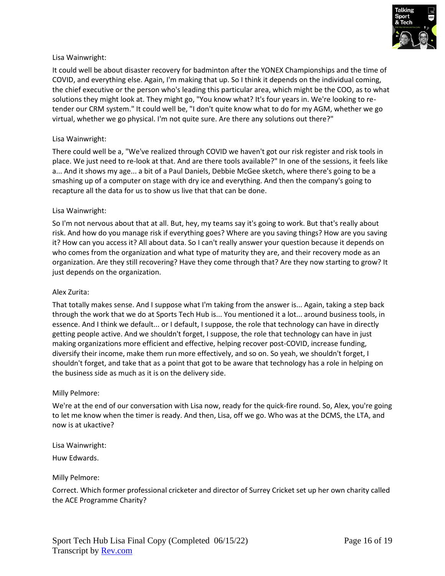

It could well be about disaster recovery for badminton after the YONEX Championships and the time of COVID, and everything else. Again, I'm making that up. So I think it depends on the individual coming, the chief executive or the person who's leading this particular area, which might be the COO, as to what solutions they might look at. They might go, "You know what? It's four years in. We're looking to retender our CRM system." It could well be, "I don't quite know what to do for my AGM, whether we go virtual, whether we go physical. I'm not quite sure. Are there any solutions out there?"

### Lisa Wainwright:

There could well be a, "We've realized through COVID we haven't got our risk register and risk tools in place. We just need to re-look at that. And are there tools available?" In one of the sessions, it feels like a... And it shows my age... a bit of a Paul Daniels, Debbie McGee sketch, where there's going to be a smashing up of a computer on stage with dry ice and everything. And then the company's going to recapture all the data for us to show us live that that can be done.

### Lisa Wainwright:

So I'm not nervous about that at all. But, hey, my teams say it's going to work. But that's really about risk. And how do you manage risk if everything goes? Where are you saving things? How are you saving it? How can you access it? All about data. So I can't really answer your question because it depends on who comes from the organization and what type of maturity they are, and their recovery mode as an organization. Are they still recovering? Have they come through that? Are they now starting to grow? It just depends on the organization.

### Alex Zurita:

That totally makes sense. And I suppose what I'm taking from the answer is... Again, taking a step back through the work that we do at Sports Tech Hub is... You mentioned it a lot... around business tools, in essence. And I think we default... or I default, I suppose, the role that technology can have in directly getting people active. And we shouldn't forget, I suppose, the role that technology can have in just making organizations more efficient and effective, helping recover post-COVID, increase funding, diversify their income, make them run more effectively, and so on. So yeah, we shouldn't forget, I shouldn't forget, and take that as a point that got to be aware that technology has a role in helping on the business side as much as it is on the delivery side.

### Milly Pelmore:

We're at the end of our conversation with Lisa now, ready for the quick-fire round. So, Alex, you're going to let me know when the timer is ready. And then, Lisa, off we go. Who was at the DCMS, the LTA, and now is at ukactive?

Lisa Wainwright:

Huw Edwards.

Milly Pelmore:

Correct. Which former professional cricketer and director of Surrey Cricket set up her own charity called the ACE Programme Charity?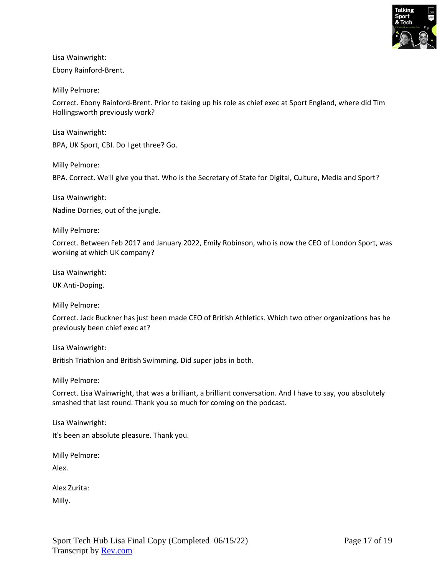

Ebony Rainford-Brent.

Milly Pelmore:

Correct. Ebony Rainford-Brent. Prior to taking up his role as chief exec at Sport England, where did Tim Hollingsworth previously work?

Lisa Wainwright:

BPA, UK Sport, CBI. Do I get three? Go.

Milly Pelmore:

BPA. Correct. We'll give you that. Who is the Secretary of State for Digital, Culture, Media and Sport?

Lisa Wainwright:

Nadine Dorries, out of the jungle.

Milly Pelmore:

Correct. Between Feb 2017 and January 2022, Emily Robinson, who is now the CEO of London Sport, was working at which UK company?

Lisa Wainwright:

UK Anti-Doping.

Milly Pelmore:

Correct. Jack Buckner has just been made CEO of British Athletics. Which two other organizations has he previously been chief exec at?

Lisa Wainwright:

British Triathlon and British Swimming. Did super jobs in both.

Milly Pelmore:

Correct. Lisa Wainwright, that was a brilliant, a brilliant conversation. And I have to say, you absolutely smashed that last round. Thank you so much for coming on the podcast.

Lisa Wainwright:

It's been an absolute pleasure. Thank you.

Milly Pelmore:

Alex.

| Alex Zurita: |
|--------------|
|--------------|

Milly.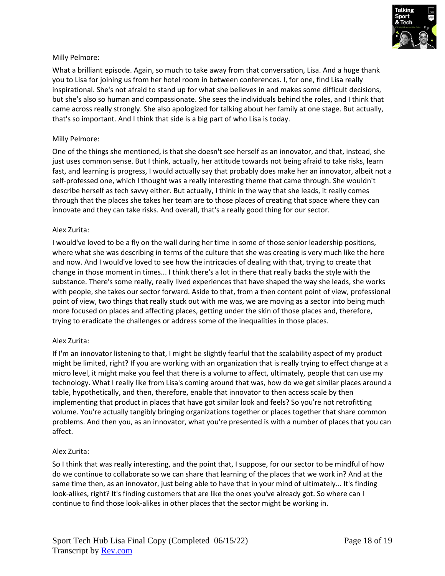

### Milly Pelmore:

What a brilliant episode. Again, so much to take away from that conversation, Lisa. And a huge thank you to Lisa for joining us from her hotel room in between conferences. I, for one, find Lisa really inspirational. She's not afraid to stand up for what she believes in and makes some difficult decisions, but she's also so human and compassionate. She sees the individuals behind the roles, and I think that came across really strongly. She also apologized for talking about her family at one stage. But actually, that's so important. And I think that side is a big part of who Lisa is today.

### Milly Pelmore:

One of the things she mentioned, is that she doesn't see herself as an innovator, and that, instead, she just uses common sense. But I think, actually, her attitude towards not being afraid to take risks, learn fast, and learning is progress, I would actually say that probably does make her an innovator, albeit not a self-professed one, which I thought was a really interesting theme that came through. She wouldn't describe herself as tech savvy either. But actually, I think in the way that she leads, it really comes through that the places she takes her team are to those places of creating that space where they can innovate and they can take risks. And overall, that's a really good thing for our sector.

#### Alex Zurita:

I would've loved to be a fly on the wall during her time in some of those senior leadership positions, where what she was describing in terms of the culture that she was creating is very much like the here and now. And I would've loved to see how the intricacies of dealing with that, trying to create that change in those moment in times... I think there's a lot in there that really backs the style with the substance. There's some really, really lived experiences that have shaped the way she leads, she works with people, she takes our sector forward. Aside to that, from a then content point of view, professional point of view, two things that really stuck out with me was, we are moving as a sector into being much more focused on places and affecting places, getting under the skin of those places and, therefore, trying to eradicate the challenges or address some of the inequalities in those places.

### Alex Zurita:

If I'm an innovator listening to that, I might be slightly fearful that the scalability aspect of my product might be limited, right? If you are working with an organization that is really trying to effect change at a micro level, it might make you feel that there is a volume to affect, ultimately, people that can use my technology. What I really like from Lisa's coming around that was, how do we get similar places around a table, hypothetically, and then, therefore, enable that innovator to then access scale by then implementing that product in places that have got similar look and feels? So you're not retrofitting volume. You're actually tangibly bringing organizations together or places together that share common problems. And then you, as an innovator, what you're presented is with a number of places that you can affect.

### Alex Zurita:

So I think that was really interesting, and the point that, I suppose, for our sector to be mindful of how do we continue to collaborate so we can share that learning of the places that we work in? And at the same time then, as an innovator, just being able to have that in your mind of ultimately... It's finding look-alikes, right? It's finding customers that are like the ones you've already got. So where can I continue to find those look-alikes in other places that the sector might be working in.